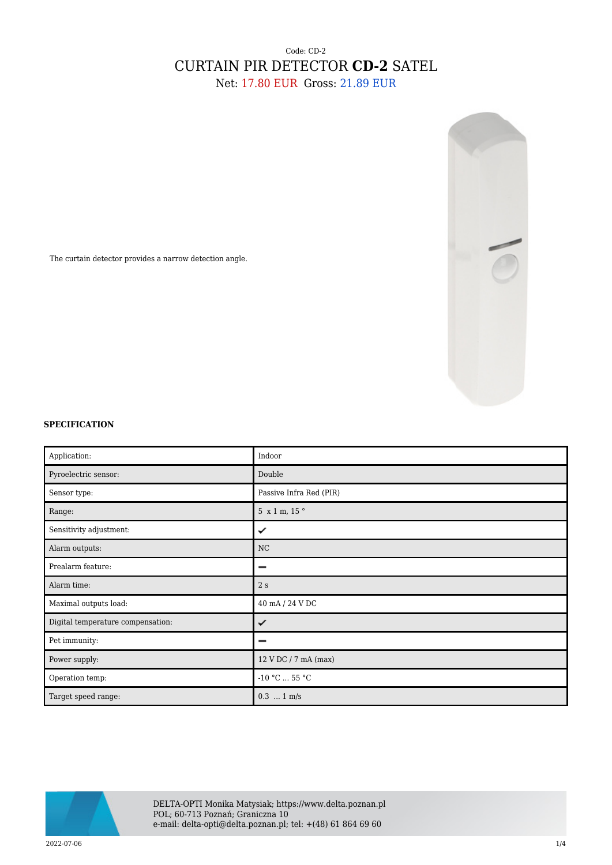## Code: CD-2 CURTAIN PIR DETECTOR **CD-2** SATEL Net: 17.80 EUR Gross: 21.89 EUR



The curtain detector provides a narrow detection angle.

## **SPECIFICATION**

| Application:                      | Indoor                  |
|-----------------------------------|-------------------------|
| Pyroelectric sensor:              | Double                  |
| Sensor type:                      | Passive Infra Red (PIR) |
| Range:                            | 5 x 1 m, 15 °           |
| Sensitivity adjustment:           | ✓                       |
| Alarm outputs:                    | NC                      |
| Prealarm feature:                 |                         |
| Alarm time:                       | 2s                      |
| Maximal outputs load:             | 40 mA / 24 V DC         |
| Digital temperature compensation: | ✓                       |
| Pet immunity:                     |                         |
| Power supply:                     | 12 V DC / 7 mA (max)    |
| Operation temp:                   | $-10$ °C $\ldots$ 55 °C |
| Target speed range:               | $0.3$ 1 m/s             |

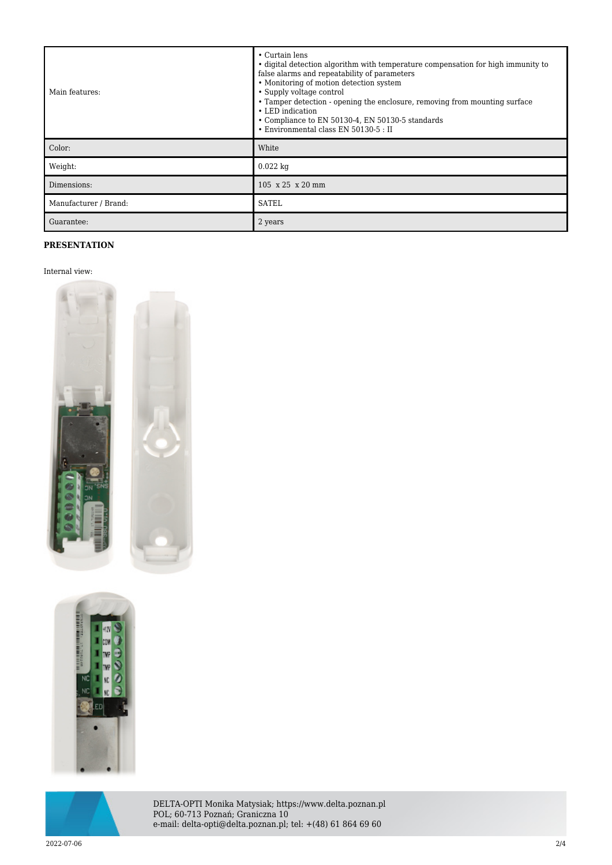| Main features:        | • Curtain lens<br>• digital detection algorithm with temperature compensation for high immunity to<br>false alarms and repeatability of parameters<br>• Monitoring of motion detection system<br>• Supply voltage control<br>• Tamper detection - opening the enclosure, removing from mounting surface<br>• LED indication<br>• Compliance to EN 50130-4, EN 50130-5 standards<br>• Environmental class EN 50130-5 : II |
|-----------------------|--------------------------------------------------------------------------------------------------------------------------------------------------------------------------------------------------------------------------------------------------------------------------------------------------------------------------------------------------------------------------------------------------------------------------|
| Color:                | White                                                                                                                                                                                                                                                                                                                                                                                                                    |
| Weight:               | $0.022$ kg                                                                                                                                                                                                                                                                                                                                                                                                               |
| Dimensions:           | 105 x 25 x 20 mm                                                                                                                                                                                                                                                                                                                                                                                                         |
| Manufacturer / Brand: | <b>SATEL</b>                                                                                                                                                                                                                                                                                                                                                                                                             |
| Guarantee:            | 2 years                                                                                                                                                                                                                                                                                                                                                                                                                  |

## **PRESENTATION**

## Internal view:







DELTA-OPTI Monika Matysiak; https://www.delta.poznan.pl POL; 60-713 Poznań; Graniczna 10 e-mail: delta-opti@delta.poznan.pl; tel: +(48) 61 864 69 60

2022-07-06 2/4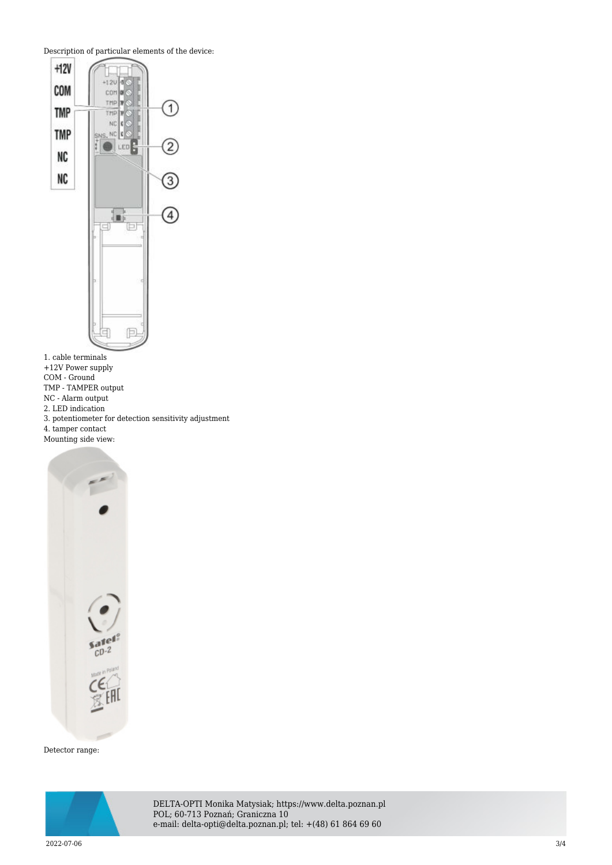Description of particular elements of the device:



1. cable terminals

+12V Power supply

COM - Ground

TMP - TAMPER output

NC - Alarm output

2. LED indication

3. potentiometer for detection sensitivity adjustment

4. tamper contact Mounting side view:



Detector range:



DELTA-OPTI Monika Matysiak; https://www.delta.poznan.pl POL; 60-713 Poznań; Graniczna 10 e-mail: delta-opti@delta.poznan.pl; tel: +(48) 61 864 69 60

2022-07-06 3/4